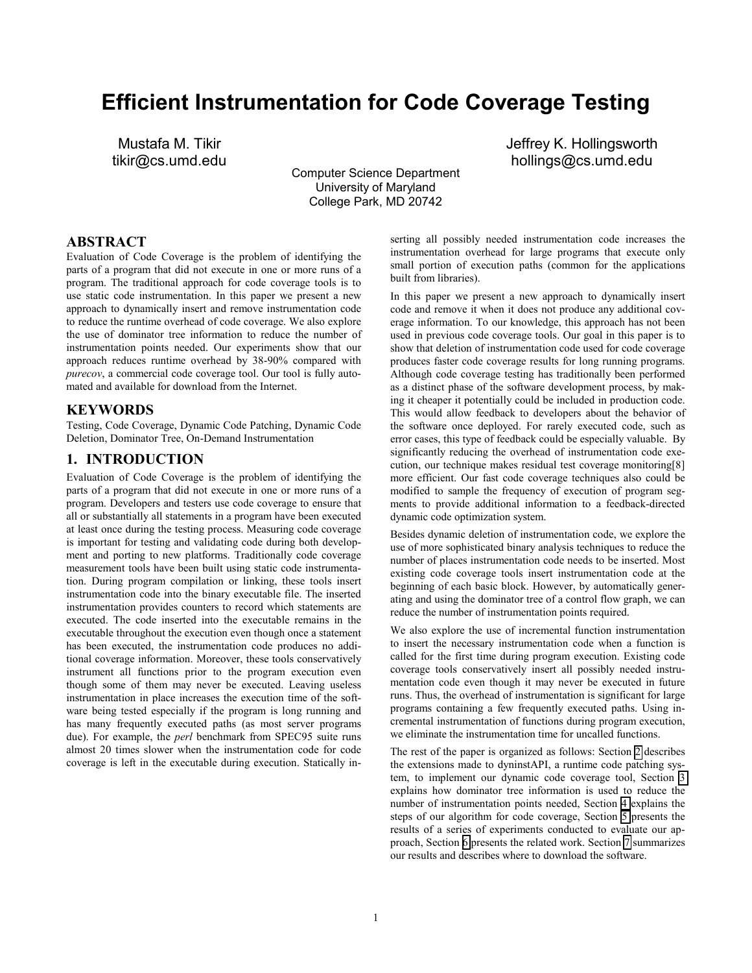# **Efficient Instrumentation for Code Coverage Testing**

Mustafa M. Tikir

tikir@cs.umd.edu Computer Science Department University of Maryland College Park, MD 20742

## **ABSTRACT**

Evaluation of Code Coverage is the problem of identifying the parts of a program that did not execute in one or more runs of a program. The traditional approach for code coverage tools is to use static code instrumentation. In this paper we present a new approach to dynamically insert and remove instrumentation code to reduce the runtime overhead of code coverage. We also explore the use of dominator tree information to reduce the number of instrumentation points needed. Our experiments show that our approach reduces runtime overhead by 38-90% compared with *purecov*, a commercial code coverage tool. Our tool is fully automated and available for download from the Internet.

#### **KEYWORDS**

Testing, Code Coverage, Dynamic Code Patching, Dynamic Code Deletion, Dominator Tree, On-Demand Instrumentation

# **1. INTRODUCTION**

Evaluation of Code Coverage is the problem of identifying the parts of a program that did not execute in one or more runs of a program. Developers and testers use code coverage to ensure that all or substantially all statements in a program have been executed at least once during the testing process. Measuring code coverage is important for testing and validating code during both development and porting to new platforms. Traditionally code coverage measurement tools have been built using static code instrumentation. During program compilation or linking, these tools insert instrumentation code into the binary executable file. The inserted instrumentation provides counters to record which statements are executed. The code inserted into the executable remains in the executable throughout the execution even though once a statement has been executed, the instrumentation code produces no additional coverage information. Moreover, these tools conservatively instrument all functions prior to the program execution even though some of them may never be executed. Leaving useless instrumentation in place increases the execution time of the software being tested especially if the program is long running and has many frequently executed paths (as most server programs due). For example, the *perl* benchmark from SPEC95 suite runs almost 20 times slower when the instrumentation code for code coverage is left in the executable during execution. Statically inJeffrey K. Hollingsworth hollings@cs.umd.edu

serting all possibly needed instrumentation code increases the instrumentation overhead for large programs that execute only small portion of execution paths (common for the applications built from libraries).

In this paper we present a new approach to dynamically insert code and remove it when it does not produce any additional coverage information. To our knowledge, this approach has not been used in previous code coverage tools. Our goal in this paper is to show that deletion of instrumentation code used for code coverage produces faster code coverage results for long running programs. Although code coverage testing has traditionally been performed as a distinct phase of the software development process, by making it cheaper it potentially could be included in production code. This would allow feedback to developers about the behavior of the software once deployed. For rarely executed code, such as error cases, this type of feedback could be especially valuable. By significantly reducing the overhead of instrumentation code execution, our technique makes residual test coverage monitoring[8] more efficient. Our fast code coverage techniques also could be modified to sample the frequency of execution of program segments to provide additional information to a feedback-directed dynamic code optimization system.

Besides dynamic deletion of instrumentation code, we explore the use of more sophisticated binary analysis techniques to reduce the number of places instrumentation code needs to be inserted. Most existing code coverage tools insert instrumentation code at the beginning of each basic block. However, by automatically generating and using the dominator tree of a control flow graph, we can reduce the number of instrumentation points required.

We also explore the use of incremental function instrumentation to insert the necessary instrumentation code when a function is called for the first time during program execution. Existing code coverage tools conservatively insert all possibly needed instrumentation code even though it may never be executed in future runs. Thus, the overhead of instrumentation is significant for large programs containing a few frequently executed paths. Using incremental instrumentation of functions during program execution, we eliminate the instrumentation time for uncalled functions.

The rest of the paper is organized as follows: Section [2](#page-1-0) describes the extensions made to dyninstAPI, a runtime code patching system, to implement our dynamic code coverage tool, Section [3](#page-1-0)  explains how dominator tree information is used to reduce the number of instrumentation points needed, Section [4](#page-2-0) explains the steps of our algorithm for code coverage, Section [5](#page-3-0) presents the results of a series of experiments conducted to evaluate our approach, Section [6](#page-6-0) presents the related work. Section [7](#page-7-0) summarizes our results and describes where to download the software.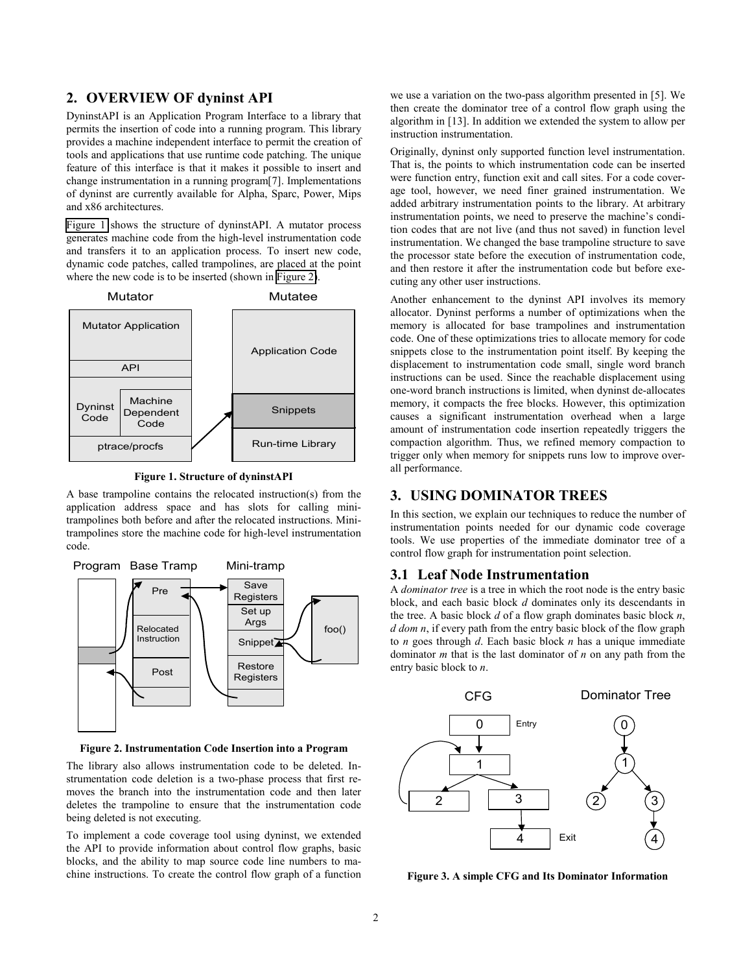# <span id="page-1-0"></span>**2. OVERVIEW OF dyninst API**

DyninstAPI is an Application Program Interface to a library that permits the insertion of code into a running program. This library provides a machine independent interface to permit the creation of tools and applications that use runtime code patching. The unique feature of this interface is that it makes it possible to insert and change instrumentation in a running program[7]. Implementations of dyninst are currently available for Alpha, Sparc, Power, Mips and x86 architectures.

Figure 1 shows the structure of dyninstAPI. A mutator process generates machine code from the high-level instrumentation code and transfers it to an application process. To insert new code, dynamic code patches, called trampolines, are placed at the point where the new code is to be inserted (shown in Figure 2).



**Figure 1. Structure of dyninstAPI** 

A base trampoline contains the relocated instruction(s) from the application address space and has slots for calling minitrampolines both before and after the relocated instructions. Minitrampolines store the machine code for high-level instrumentation code.



**Figure 2. Instrumentation Code Insertion into a Program** 

The library also allows instrumentation code to be deleted. Instrumentation code deletion is a two-phase process that first removes the branch into the instrumentation code and then later deletes the trampoline to ensure that the instrumentation code being deleted is not executing.

To implement a code coverage tool using dyninst, we extended the API to provide information about control flow graphs, basic blocks, and the ability to map source code line numbers to machine instructions. To create the control flow graph of a function we use a variation on the two-pass algorithm presented in [5]. We then create the dominator tree of a control flow graph using the algorithm in [13]. In addition we extended the system to allow per instruction instrumentation.

Originally, dyninst only supported function level instrumentation. That is, the points to which instrumentation code can be inserted were function entry, function exit and call sites. For a code coverage tool, however, we need finer grained instrumentation. We added arbitrary instrumentation points to the library. At arbitrary instrumentation points, we need to preserve the machine's condition codes that are not live (and thus not saved) in function level instrumentation. We changed the base trampoline structure to save the processor state before the execution of instrumentation code, and then restore it after the instrumentation code but before executing any other user instructions.

Another enhancement to the dyninst API involves its memory allocator. Dyninst performs a number of optimizations when the memory is allocated for base trampolines and instrumentation code. One of these optimizations tries to allocate memory for code snippets close to the instrumentation point itself. By keeping the displacement to instrumentation code small, single word branch instructions can be used. Since the reachable displacement using one-word branch instructions is limited, when dyninst de-allocates memory, it compacts the free blocks. However, this optimization causes a significant instrumentation overhead when a large amount of instrumentation code insertion repeatedly triggers the compaction algorithm. Thus, we refined memory compaction to trigger only when memory for snippets runs low to improve overall performance.

## **3. USING DOMINATOR TREES**

In this section, we explain our techniques to reduce the number of instrumentation points needed for our dynamic code coverage tools. We use properties of the immediate dominator tree of a control flow graph for instrumentation point selection.

#### **3.1 Leaf Node Instrumentation**

A *dominator tree* is a tree in which the root node is the entry basic block, and each basic block *d* dominates only its descendants in the tree. A basic block *d* of a flow graph dominates basic block *n*, *d dom n*, if every path from the entry basic block of the flow graph to *n* goes through *d*. Each basic block *n* has a unique immediate dominator *m* that is the last dominator of *n* on any path from the entry basic block to *n*.



**Figure 3. A simple CFG and Its Dominator Information**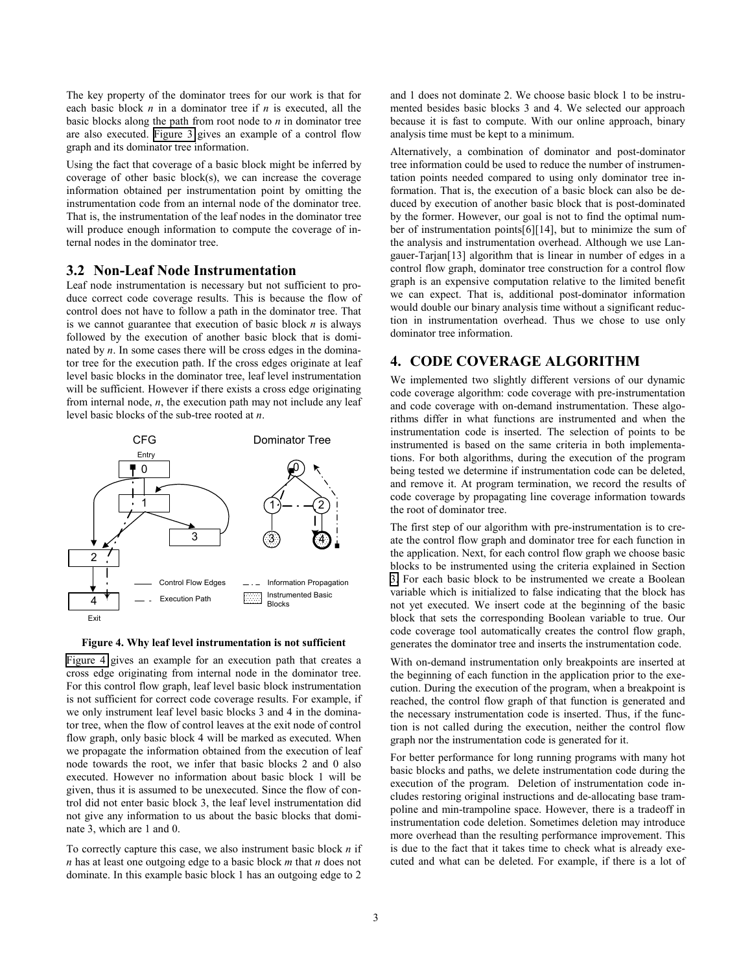<span id="page-2-0"></span>The key property of the dominator trees for our work is that for each basic block *n* in a dominator tree if *n* is executed, all the basic blocks along the path from root node to *n* in dominator tree are also executed. [Figure 3](#page-1-0) gives an example of a control flow graph and its dominator tree information.

Using the fact that coverage of a basic block might be inferred by coverage of other basic block(s), we can increase the coverage information obtained per instrumentation point by omitting the instrumentation code from an internal node of the dominator tree. That is, the instrumentation of the leaf nodes in the dominator tree will produce enough information to compute the coverage of internal nodes in the dominator tree.

## **3.2 Non-Leaf Node Instrumentation**

Leaf node instrumentation is necessary but not sufficient to produce correct code coverage results. This is because the flow of control does not have to follow a path in the dominator tree. That is we cannot guarantee that execution of basic block *n* is always followed by the execution of another basic block that is dominated by *n*. In some cases there will be cross edges in the dominator tree for the execution path. If the cross edges originate at leaf level basic blocks in the dominator tree, leaf level instrumentation will be sufficient. However if there exists a cross edge originating from internal node, *n*, the execution path may not include any leaf level basic blocks of the sub-tree rooted at *n*.



**Figure 4. Why leaf level instrumentation is not sufficient** 

Figure 4 gives an example for an execution path that creates a cross edge originating from internal node in the dominator tree. For this control flow graph, leaf level basic block instrumentation is not sufficient for correct code coverage results. For example, if we only instrument leaf level basic blocks 3 and 4 in the dominator tree, when the flow of control leaves at the exit node of control flow graph, only basic block 4 will be marked as executed. When we propagate the information obtained from the execution of leaf node towards the root, we infer that basic blocks 2 and 0 also executed. However no information about basic block 1 will be given, thus it is assumed to be unexecuted. Since the flow of control did not enter basic block 3, the leaf level instrumentation did not give any information to us about the basic blocks that dominate 3, which are 1 and 0.

To correctly capture this case, we also instrument basic block *n* if *n* has at least one outgoing edge to a basic block *m* that *n* does not dominate. In this example basic block 1 has an outgoing edge to 2

and 1 does not dominate 2. We choose basic block 1 to be instrumented besides basic blocks 3 and 4. We selected our approach because it is fast to compute. With our online approach, binary analysis time must be kept to a minimum.

Alternatively, a combination of dominator and post-dominator tree information could be used to reduce the number of instrumentation points needed compared to using only dominator tree information. That is, the execution of a basic block can also be deduced by execution of another basic block that is post-dominated by the former. However, our goal is not to find the optimal number of instrumentation points[6][14], but to minimize the sum of the analysis and instrumentation overhead. Although we use Langauer-Tarjan[13] algorithm that is linear in number of edges in a control flow graph, dominator tree construction for a control flow graph is an expensive computation relative to the limited benefit we can expect. That is, additional post-dominator information would double our binary analysis time without a significant reduction in instrumentation overhead. Thus we chose to use only dominator tree information.

## **4. CODE COVERAGE ALGORITHM**

We implemented two slightly different versions of our dynamic code coverage algorithm: code coverage with pre-instrumentation and code coverage with on-demand instrumentation. These algorithms differ in what functions are instrumented and when the instrumentation code is inserted. The selection of points to be instrumented is based on the same criteria in both implementations. For both algorithms, during the execution of the program being tested we determine if instrumentation code can be deleted, and remove it. At program termination, we record the results of code coverage by propagating line coverage information towards the root of dominator tree.

The first step of our algorithm with pre-instrumentation is to create the control flow graph and dominator tree for each function in the application. Next, for each control flow graph we choose basic blocks to be instrumented using the criteria explained in Section [3.](#page-1-0) For each basic block to be instrumented we create a Boolean variable which is initialized to false indicating that the block has not yet executed. We insert code at the beginning of the basic block that sets the corresponding Boolean variable to true. Our code coverage tool automatically creates the control flow graph, generates the dominator tree and inserts the instrumentation code.

With on-demand instrumentation only breakpoints are inserted at the beginning of each function in the application prior to the execution. During the execution of the program, when a breakpoint is reached, the control flow graph of that function is generated and the necessary instrumentation code is inserted. Thus, if the function is not called during the execution, neither the control flow graph nor the instrumentation code is generated for it.

For better performance for long running programs with many hot basic blocks and paths, we delete instrumentation code during the execution of the program. Deletion of instrumentation code includes restoring original instructions and de-allocating base trampoline and min-trampoline space. However, there is a tradeoff in instrumentation code deletion. Sometimes deletion may introduce more overhead than the resulting performance improvement. This is due to the fact that it takes time to check what is already executed and what can be deleted. For example, if there is a lot of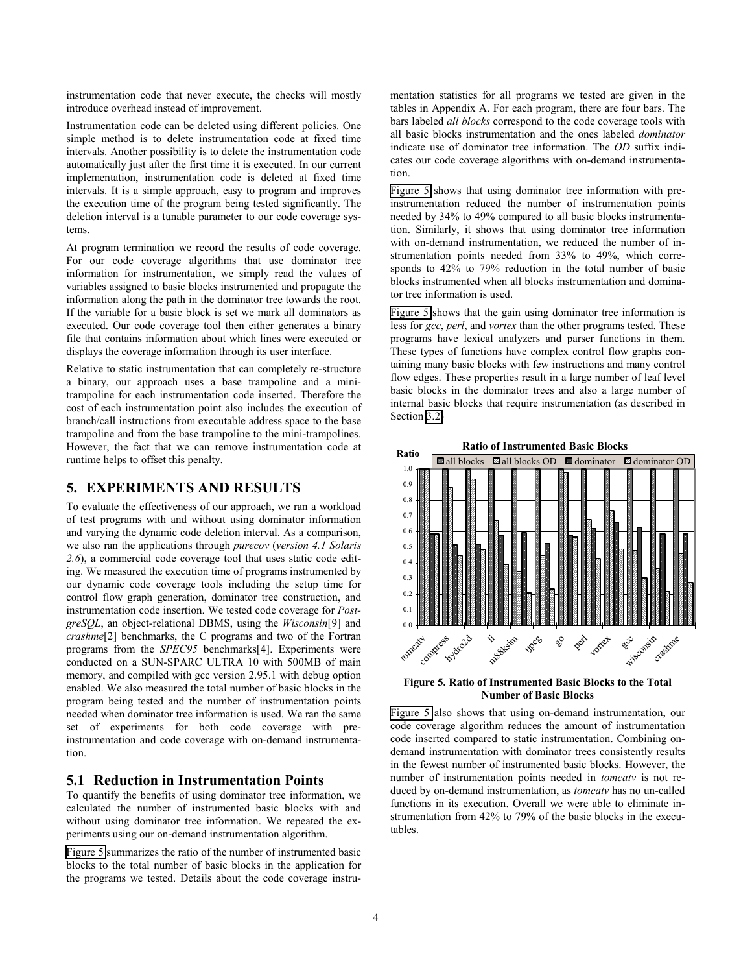<span id="page-3-0"></span>instrumentation code that never execute, the checks will mostly introduce overhead instead of improvement.

Instrumentation code can be deleted using different policies. One simple method is to delete instrumentation code at fixed time intervals. Another possibility is to delete the instrumentation code automatically just after the first time it is executed. In our current implementation, instrumentation code is deleted at fixed time intervals. It is a simple approach, easy to program and improves the execution time of the program being tested significantly. The deletion interval is a tunable parameter to our code coverage systems.

At program termination we record the results of code coverage. For our code coverage algorithms that use dominator tree information for instrumentation, we simply read the values of variables assigned to basic blocks instrumented and propagate the information along the path in the dominator tree towards the root. If the variable for a basic block is set we mark all dominators as executed. Our code coverage tool then either generates a binary file that contains information about which lines were executed or displays the coverage information through its user interface.

Relative to static instrumentation that can completely re-structure a binary, our approach uses a base trampoline and a minitrampoline for each instrumentation code inserted. Therefore the cost of each instrumentation point also includes the execution of branch/call instructions from executable address space to the base trampoline and from the base trampoline to the mini-trampolines. However, the fact that we can remove instrumentation code at runtime helps to offset this penalty.

## **5. EXPERIMENTS AND RESULTS**

To evaluate the effectiveness of our approach, we ran a workload of test programs with and without using dominator information and varying the dynamic code deletion interval. As a comparison, we also ran the applications through *purecov* (*version 4.1 Solaris 2.6*), a commercial code coverage tool that uses static code editing. We measured the execution time of programs instrumented by our dynamic code coverage tools including the setup time for control flow graph generation, dominator tree construction, and instrumentation code insertion. We tested code coverage for *PostgreSQL*, an object-relational DBMS, using the *Wisconsin*[9] and *crashme*[2] benchmarks, the C programs and two of the Fortran programs from the *SPEC95* benchmarks[4]. Experiments were conducted on a SUN-SPARC ULTRA 10 with 500MB of main memory, and compiled with gcc version 2.95.1 with debug option enabled. We also measured the total number of basic blocks in the program being tested and the number of instrumentation points needed when dominator tree information is used. We ran the same set of experiments for both code coverage with preinstrumentation and code coverage with on-demand instrumentation.

#### **5.1 Reduction in Instrumentation Points**

To quantify the benefits of using dominator tree information, we calculated the number of instrumented basic blocks with and without using dominator tree information. We repeated the experiments using our on-demand instrumentation algorithm.

Figure 5 summarizes the ratio of the number of instrumented basic blocks to the total number of basic blocks in the application for the programs we tested. Details about the code coverage instrumentation statistics for all programs we tested are given in the tables in Appendix A. For each program, there are four bars. The bars labeled *all blocks* correspond to the code coverage tools with all basic blocks instrumentation and the ones labeled *dominator* indicate use of dominator tree information. The *OD* suffix indicates our code coverage algorithms with on-demand instrumentation.

Figure 5 shows that using dominator tree information with preinstrumentation reduced the number of instrumentation points needed by 34% to 49% compared to all basic blocks instrumentation. Similarly, it shows that using dominator tree information with on-demand instrumentation, we reduced the number of instrumentation points needed from 33% to 49%, which corresponds to 42% to 79% reduction in the total number of basic blocks instrumented when all blocks instrumentation and dominator tree information is used.

Figure 5 shows that the gain using dominator tree information is less for *gcc*, *perl*, and *vortex* than the other programs tested. These programs have lexical analyzers and parser functions in them. These types of functions have complex control flow graphs containing many basic blocks with few instructions and many control flow edges. These properties result in a large number of leaf level basic blocks in the dominator trees and also a large number of internal basic blocks that require instrumentation (as described in Section [3.2\)](#page-2-0)





**Figure 5. Ratio of Instrumented Basic Blocks to the Total Number of Basic Blocks** 

Figure 5 also shows that using on-demand instrumentation, our code coverage algorithm reduces the amount of instrumentation code inserted compared to static instrumentation. Combining ondemand instrumentation with dominator trees consistently results in the fewest number of instrumented basic blocks. However, the number of instrumentation points needed in *tomcatv* is not reduced by on-demand instrumentation, as *tomcatv* has no un-called functions in its execution. Overall we were able to eliminate instrumentation from 42% to 79% of the basic blocks in the executables.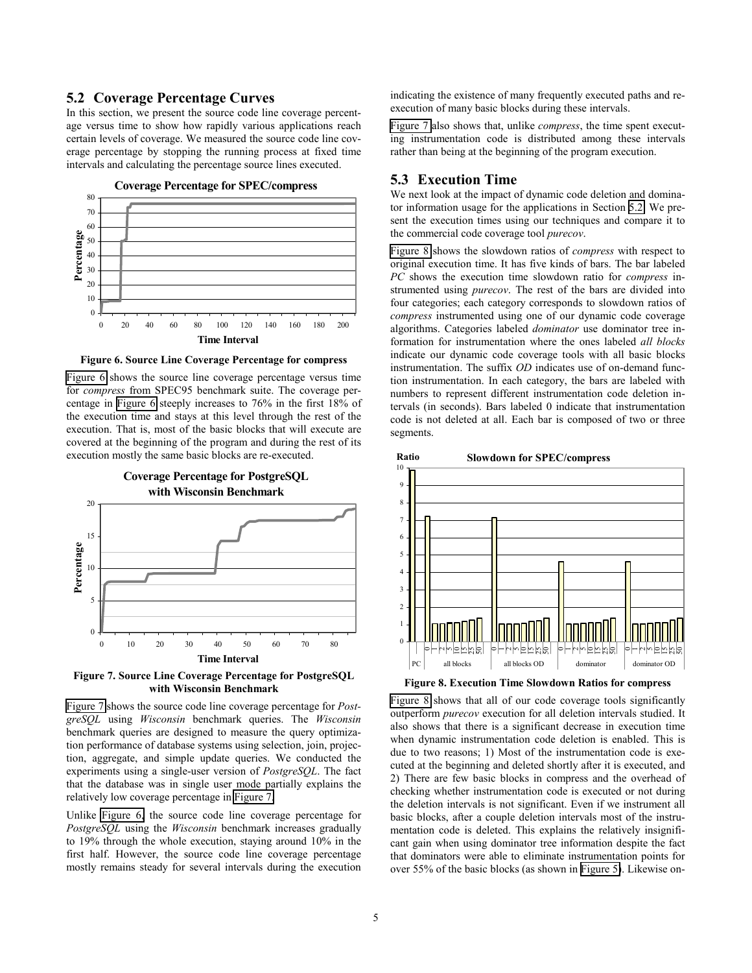#### <span id="page-4-0"></span>**5.2 Coverage Percentage Curves**

In this section, we present the source code line coverage percentage versus time to show how rapidly various applications reach certain levels of coverage. We measured the source code line coverage percentage by stopping the running process at fixed time intervals and calculating the percentage source lines executed.



**Coverage Percentage for SPEC/compress**

**Figure 6. Source Line Coverage Percentage for compress** 

Figure 6 shows the source line coverage percentage versus time for *compress* from SPEC95 benchmark suite. The coverage percentage in Figure 6 steeply increases to 76% in the first 18% of the execution time and stays at this level through the rest of the execution. That is, most of the basic blocks that will execute are covered at the beginning of the program and during the rest of its execution mostly the same basic blocks are re-executed.



**Figure 7. Source Line Coverage Percentage for PostgreSQL with Wisconsin Benchmark** 

Figure 7 shows the source code line coverage percentage for *PostgreSQL* using *Wisconsin* benchmark queries. The *Wisconsin* benchmark queries are designed to measure the query optimization performance of database systems using selection, join, projection, aggregate, and simple update queries. We conducted the experiments using a single-user version of *PostgreSQL*. The fact that the database was in single user mode partially explains the relatively low coverage percentage in Figure 7.

Unlike Figure 6, the source code line coverage percentage for *PostgreSQL* using the *Wisconsin* benchmark increases gradually to 19% through the whole execution, staying around 10% in the first half. However, the source code line coverage percentage mostly remains steady for several intervals during the execution

indicating the existence of many frequently executed paths and reexecution of many basic blocks during these intervals.

Figure 7 also shows that, unlike *compress*, the time spent executing instrumentation code is distributed among these intervals rather than being at the beginning of the program execution.

### **5.3 Execution Time**

We next look at the impact of dynamic code deletion and dominator information usage for the applications in Section 5.2. We present the execution times using our techniques and compare it to the commercial code coverage tool *purecov*.

Figure 8 shows the slowdown ratios of *compress* with respect to original execution time. It has five kinds of bars. The bar labeled *PC* shows the execution time slowdown ratio for *compress* instrumented using *purecov*. The rest of the bars are divided into four categories; each category corresponds to slowdown ratios of *compress* instrumented using one of our dynamic code coverage algorithms. Categories labeled *dominator* use dominator tree information for instrumentation where the ones labeled *all blocks* indicate our dynamic code coverage tools with all basic blocks instrumentation. The suffix *OD* indicates use of on-demand function instrumentation. In each category, the bars are labeled with numbers to represent different instrumentation code deletion intervals (in seconds). Bars labeled 0 indicate that instrumentation code is not deleted at all. Each bar is composed of two or three segments.

**Slowdown for SPEC/compress Ratio**



**Figure 8. Execution Time Slowdown Ratios for compress** 

Figure 8 shows that all of our code coverage tools significantly outperform *purecov* execution for all deletion intervals studied. It also shows that there is a significant decrease in execution time when dynamic instrumentation code deletion is enabled. This is due to two reasons; 1) Most of the instrumentation code is executed at the beginning and deleted shortly after it is executed, and 2) There are few basic blocks in compress and the overhead of checking whether instrumentation code is executed or not during the deletion intervals is not significant. Even if we instrument all basic blocks, after a couple deletion intervals most of the instrumentation code is deleted. This explains the relatively insignificant gain when using dominator tree information despite the fact that dominators were able to eliminate instrumentation points for over 55% of the basic blocks (as shown in [Figure 5\)](#page-3-0). Likewise on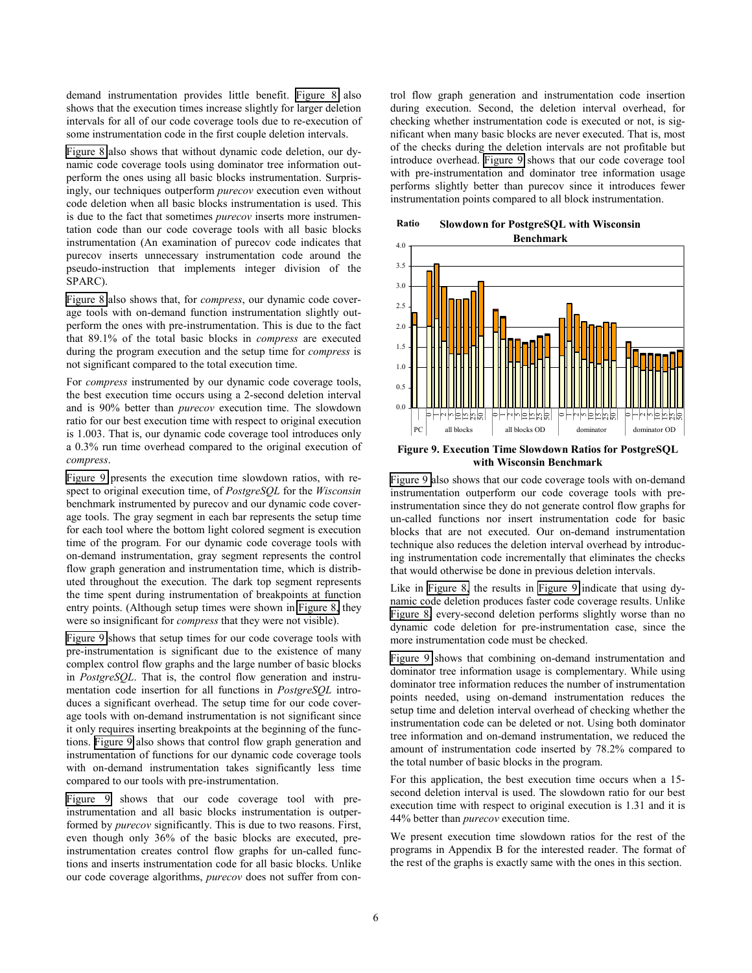demand instrumentation provides little benefit. [Figure 8](#page-4-0) also shows that the execution times increase slightly for larger deletion intervals for all of our code coverage tools due to re-execution of some instrumentation code in the first couple deletion intervals.

[Figure 8](#page-4-0) also shows that without dynamic code deletion, our dynamic code coverage tools using dominator tree information outperform the ones using all basic blocks instrumentation. Surprisingly, our techniques outperform *purecov* execution even without code deletion when all basic blocks instrumentation is used. This is due to the fact that sometimes *purecov* inserts more instrumentation code than our code coverage tools with all basic blocks instrumentation (An examination of purecov code indicates that purecov inserts unnecessary instrumentation code around the pseudo-instruction that implements integer division of the SPARC).

[Figure 8](#page-4-0) also shows that, for *compress*, our dynamic code coverage tools with on-demand function instrumentation slightly outperform the ones with pre-instrumentation. This is due to the fact that 89.1% of the total basic blocks in *compress* are executed during the program execution and the setup time for *compress* is not significant compared to the total execution time.

For *compress* instrumented by our dynamic code coverage tools, the best execution time occurs using a 2-second deletion interval and is 90% better than *purecov* execution time. The slowdown ratio for our best execution time with respect to original execution is 1.003. That is, our dynamic code coverage tool introduces only a 0.3% run time overhead compared to the original execution of *compress*.

Figure 9 presents the execution time slowdown ratios, with respect to original execution time, of *PostgreSQL* for the *Wisconsin* benchmark instrumented by purecov and our dynamic code coverage tools. The gray segment in each bar represents the setup time for each tool where the bottom light colored segment is execution time of the program. For our dynamic code coverage tools with on-demand instrumentation, gray segment represents the control flow graph generation and instrumentation time, which is distributed throughout the execution. The dark top segment represents the time spent during instrumentation of breakpoints at function entry points. (Although setup times were shown in [Figure 8,](#page-4-0) they were so insignificant for *compress* that they were not visible).

Figure 9 shows that setup times for our code coverage tools with pre-instrumentation is significant due to the existence of many complex control flow graphs and the large number of basic blocks in *PostgreSQL*. That is, the control flow generation and instrumentation code insertion for all functions in *PostgreSQL* introduces a significant overhead. The setup time for our code coverage tools with on-demand instrumentation is not significant since it only requires inserting breakpoints at the beginning of the functions. Figure 9 also shows that control flow graph generation and instrumentation of functions for our dynamic code coverage tools with on-demand instrumentation takes significantly less time compared to our tools with pre-instrumentation.

Figure 9 shows that our code coverage tool with preinstrumentation and all basic blocks instrumentation is outperformed by *purecov* significantly. This is due to two reasons. First, even though only 36% of the basic blocks are executed, preinstrumentation creates control flow graphs for un-called functions and inserts instrumentation code for all basic blocks. Unlike our code coverage algorithms, *purecov* does not suffer from control flow graph generation and instrumentation code insertion during execution. Second, the deletion interval overhead, for checking whether instrumentation code is executed or not, is significant when many basic blocks are never executed. That is, most of the checks during the deletion intervals are not profitable but introduce overhead. Figure 9 shows that our code coverage tool with pre-instrumentation and dominator tree information usage performs slightly better than purecov since it introduces fewer instrumentation points compared to all block instrumentation.

**Slowdown for PostgreSQL with Wisconsin Ratio**



**Figure 9. Execution Time Slowdown Ratios for PostgreSQL with Wisconsin Benchmark** 

Figure 9 also shows that our code coverage tools with on-demand instrumentation outperform our code coverage tools with preinstrumentation since they do not generate control flow graphs for un-called functions nor insert instrumentation code for basic blocks that are not executed. Our on-demand instrumentation technique also reduces the deletion interval overhead by introducing instrumentation code incrementally that eliminates the checks that would otherwise be done in previous deletion intervals.

Like in [Figure 8,](#page-4-0) the results in Figure 9 indicate that using dynamic code deletion produces faster code coverage results. Unlike [Figure 8,](#page-4-0) every-second deletion performs slightly worse than no dynamic code deletion for pre-instrumentation case, since the more instrumentation code must be checked.

Figure 9 shows that combining on-demand instrumentation and dominator tree information usage is complementary. While using dominator tree information reduces the number of instrumentation points needed, using on-demand instrumentation reduces the setup time and deletion interval overhead of checking whether the instrumentation code can be deleted or not. Using both dominator tree information and on-demand instrumentation, we reduced the amount of instrumentation code inserted by 78.2% compared to the total number of basic blocks in the program.

For this application, the best execution time occurs when a 15 second deletion interval is used. The slowdown ratio for our best execution time with respect to original execution is 1.31 and it is 44% better than *purecov* execution time.

We present execution time slowdown ratios for the rest of the programs in Appendix B for the interested reader. The format of the rest of the graphs is exactly same with the ones in this section.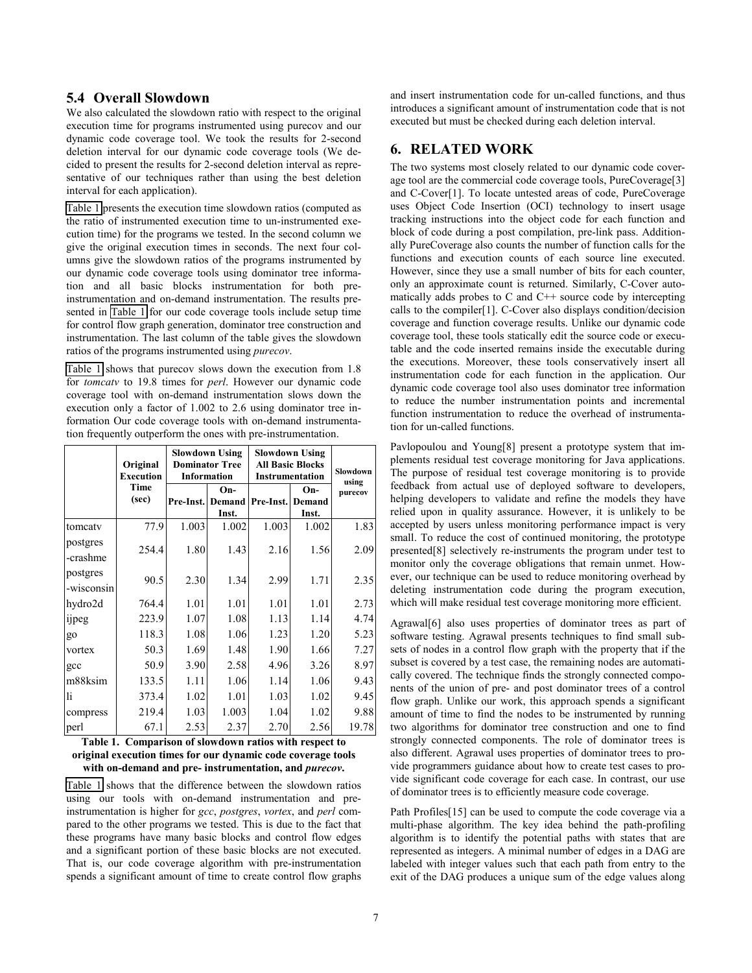## <span id="page-6-0"></span>**5.4 Overall Slowdown**

We also calculated the slowdown ratio with respect to the original execution time for programs instrumented using purecov and our dynamic code coverage tool. We took the results for 2-second deletion interval for our dynamic code coverage tools (We decided to present the results for 2-second deletion interval as representative of our techniques rather than using the best deletion interval for each application).

Table 1 presents the execution time slowdown ratios (computed as the ratio of instrumented execution time to un-instrumented execution time) for the programs we tested. In the second column we give the original execution times in seconds. The next four columns give the slowdown ratios of the programs instrumented by our dynamic code coverage tools using dominator tree information and all basic blocks instrumentation for both preinstrumentation and on-demand instrumentation. The results presented in Table 1 for our code coverage tools include setup time for control flow graph generation, dominator tree construction and instrumentation. The last column of the table gives the slowdown ratios of the programs instrumented using *purecov*.

Table 1 shows that purecov slows down the execution from 1.8 for *tomcatv* to 19.8 times for *perl*. However our dynamic code coverage tool with on-demand instrumentation slows down the execution only a factor of 1.002 to 2.6 using dominator tree information Our code coverage tools with on-demand instrumentation frequently outperform the ones with pre-instrumentation.

|            | Original<br><b>Execution</b> | <b>Slowdown Using</b><br><b>Dominator Tree</b><br><b>Information</b> |               | <b>Slowdown Using</b><br><b>All Basic Blocks</b><br><b>Instrumentation</b> |                 | Slowdown<br>using |
|------------|------------------------------|----------------------------------------------------------------------|---------------|----------------------------------------------------------------------------|-----------------|-------------------|
|            | Time<br>(sec)                | Pre-Inst.                                                            | On-<br>Demand | Pre-Inst.                                                                  | $On-$<br>Demand | purecov           |
|            |                              |                                                                      | Inst.         |                                                                            | Inst.           |                   |
| tomcatv    | 77.9                         | 1.003                                                                | 1.002         | 1.003                                                                      | 1.002           | 1.83              |
| postgres   | 254.4                        | 1.80                                                                 | 1.43          | 2.16                                                                       | 1.56            | 2.09              |
| -crashme   |                              |                                                                      |               |                                                                            |                 |                   |
| postgres   | 90.5                         | 2.30                                                                 | 1.34          | 2.99                                                                       | 1.71            | 2.35              |
| -wisconsin |                              |                                                                      |               |                                                                            |                 |                   |
| hydro2d    | 764.4                        | 1.01                                                                 | 1.01          | 1.01                                                                       | 1.01            | 2.73              |
| ijpeg      | 223.9                        | 1.07                                                                 | 1.08          | 1.13                                                                       | 1.14            | 4.74              |
| go         | 118.3                        | 1.08                                                                 | 1.06          | 1.23                                                                       | 1.20            | 5.23              |
| vortex     | 50.3                         | 1.69                                                                 | 1.48          | 1.90                                                                       | 1.66            | 7.27              |
| gcc        | 50.9                         | 3.90                                                                 | 2.58          | 4.96                                                                       | 3.26            | 8.97              |
| m88ksim    | 133.5                        | 1.11                                                                 | 1.06          | 1.14                                                                       | 1.06            | 9.43              |
| li         | 373.4                        | 1.02                                                                 | 1.01          | 1.03                                                                       | 1.02            | 9.45              |
| compress   | 219.4                        | 1.03                                                                 | 1.003         | 1.04                                                                       | 1.02            | 9.88              |
| perl       | 67.1                         | 2.53                                                                 | 2.37          | 2.70                                                                       | 2.56            | 19.78             |

**Table 1. Comparison of slowdown ratios with respect to original execution times for our dynamic code coverage tools with on-demand and pre- instrumentation, and** *purecov***.** 

Table 1 shows that the difference between the slowdown ratios using our tools with on-demand instrumentation and preinstrumentation is higher for *gcc*, *postgres*, *vortex*, and *perl* compared to the other programs we tested. This is due to the fact that these programs have many basic blocks and control flow edges and a significant portion of these basic blocks are not executed. That is, our code coverage algorithm with pre-instrumentation spends a significant amount of time to create control flow graphs

and insert instrumentation code for un-called functions, and thus introduces a significant amount of instrumentation code that is not executed but must be checked during each deletion interval.

#### **6. RELATED WORK**

The two systems most closely related to our dynamic code coverage tool are the commercial code coverage tools, PureCoverage[3] and C-Cover[1]. To locate untested areas of code, PureCoverage uses Object Code Insertion (OCI) technology to insert usage tracking instructions into the object code for each function and block of code during a post compilation, pre-link pass. Additionally PureCoverage also counts the number of function calls for the functions and execution counts of each source line executed. However, since they use a small number of bits for each counter, only an approximate count is returned. Similarly, C-Cover automatically adds probes to C and  $C++$  source code by intercepting calls to the compiler[1]. C-Cover also displays condition/decision coverage and function coverage results. Unlike our dynamic code coverage tool, these tools statically edit the source code or executable and the code inserted remains inside the executable during the executions. Moreover, these tools conservatively insert all instrumentation code for each function in the application. Our dynamic code coverage tool also uses dominator tree information to reduce the number instrumentation points and incremental function instrumentation to reduce the overhead of instrumentation for un-called functions.

Pavlopoulou and Young[8] present a prototype system that implements residual test coverage monitoring for Java applications. The purpose of residual test coverage monitoring is to provide feedback from actual use of deployed software to developers, helping developers to validate and refine the models they have relied upon in quality assurance. However, it is unlikely to be accepted by users unless monitoring performance impact is very small. To reduce the cost of continued monitoring, the prototype presented[8] selectively re-instruments the program under test to monitor only the coverage obligations that remain unmet. However, our technique can be used to reduce monitoring overhead by deleting instrumentation code during the program execution, which will make residual test coverage monitoring more efficient.

Agrawal[6] also uses properties of dominator trees as part of software testing. Agrawal presents techniques to find small subsets of nodes in a control flow graph with the property that if the subset is covered by a test case, the remaining nodes are automatically covered. The technique finds the strongly connected components of the union of pre- and post dominator trees of a control flow graph. Unlike our work, this approach spends a significant amount of time to find the nodes to be instrumented by running two algorithms for dominator tree construction and one to find strongly connected components. The role of dominator trees is also different. Agrawal uses properties of dominator trees to provide programmers guidance about how to create test cases to provide significant code coverage for each case. In contrast, our use of dominator trees is to efficiently measure code coverage.

Path Profiles<sup>[15]</sup> can be used to compute the code coverage via a multi-phase algorithm. The key idea behind the path-profiling algorithm is to identify the potential paths with states that are represented as integers. A minimal number of edges in a DAG are labeled with integer values such that each path from entry to the exit of the DAG produces a unique sum of the edge values along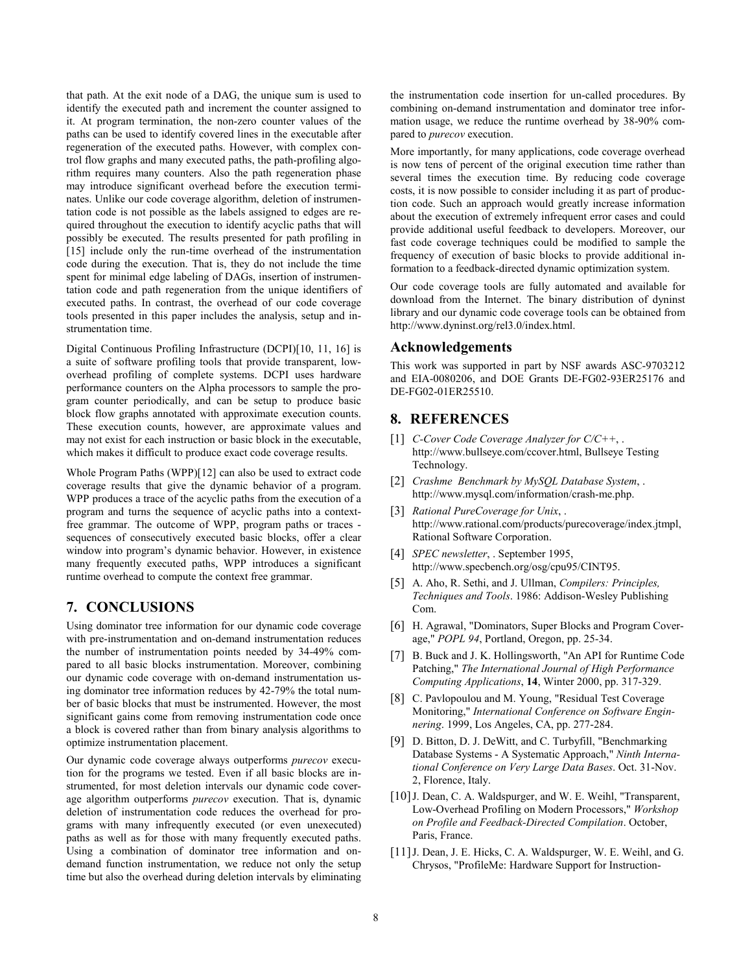<span id="page-7-0"></span>that path. At the exit node of a DAG, the unique sum is used to identify the executed path and increment the counter assigned to it. At program termination, the non-zero counter values of the paths can be used to identify covered lines in the executable after regeneration of the executed paths. However, with complex control flow graphs and many executed paths, the path-profiling algorithm requires many counters. Also the path regeneration phase may introduce significant overhead before the execution terminates. Unlike our code coverage algorithm, deletion of instrumentation code is not possible as the labels assigned to edges are required throughout the execution to identify acyclic paths that will possibly be executed. The results presented for path profiling in [15] include only the run-time overhead of the instrumentation code during the execution. That is, they do not include the time spent for minimal edge labeling of DAGs, insertion of instrumentation code and path regeneration from the unique identifiers of executed paths. In contrast, the overhead of our code coverage tools presented in this paper includes the analysis, setup and instrumentation time.

Digital Continuous Profiling Infrastructure (DCPI)[10, 11, 16] is a suite of software profiling tools that provide transparent, lowoverhead profiling of complete systems. DCPI uses hardware performance counters on the Alpha processors to sample the program counter periodically, and can be setup to produce basic block flow graphs annotated with approximate execution counts. These execution counts, however, are approximate values and may not exist for each instruction or basic block in the executable, which makes it difficult to produce exact code coverage results.

Whole Program Paths (WPP)[12] can also be used to extract code coverage results that give the dynamic behavior of a program. WPP produces a trace of the acyclic paths from the execution of a program and turns the sequence of acyclic paths into a contextfree grammar. The outcome of WPP, program paths or traces sequences of consecutively executed basic blocks, offer a clear window into program's dynamic behavior. However, in existence many frequently executed paths, WPP introduces a significant runtime overhead to compute the context free grammar.

# **7. CONCLUSIONS**

Using dominator tree information for our dynamic code coverage with pre-instrumentation and on-demand instrumentation reduces the number of instrumentation points needed by 34-49% compared to all basic blocks instrumentation. Moreover, combining our dynamic code coverage with on-demand instrumentation using dominator tree information reduces by 42-79% the total number of basic blocks that must be instrumented. However, the most significant gains come from removing instrumentation code once a block is covered rather than from binary analysis algorithms to optimize instrumentation placement.

Our dynamic code coverage always outperforms *purecov* execution for the programs we tested. Even if all basic blocks are instrumented, for most deletion intervals our dynamic code coverage algorithm outperforms *purecov* execution. That is, dynamic deletion of instrumentation code reduces the overhead for programs with many infrequently executed (or even unexecuted) paths as well as for those with many frequently executed paths. Using a combination of dominator tree information and ondemand function instrumentation, we reduce not only the setup time but also the overhead during deletion intervals by eliminating the instrumentation code insertion for un-called procedures. By combining on-demand instrumentation and dominator tree information usage, we reduce the runtime overhead by 38-90% compared to *purecov* execution.

More importantly, for many applications, code coverage overhead is now tens of percent of the original execution time rather than several times the execution time. By reducing code coverage costs, it is now possible to consider including it as part of production code. Such an approach would greatly increase information about the execution of extremely infrequent error cases and could provide additional useful feedback to developers. Moreover, our fast code coverage techniques could be modified to sample the frequency of execution of basic blocks to provide additional information to a feedback-directed dynamic optimization system.

Our code coverage tools are fully automated and available for download from the Internet. The binary distribution of dyninst library and our dynamic code coverage tools can be obtained from http://www.dyninst.org/rel3.0/index.html.

#### **Acknowledgements**

This work was supported in part by NSF awards ASC-9703212 and EIA-0080206, and DOE Grants DE-FG02-93ER25176 and DE-FG02-01ER25510.

# **8. REFERENCES**

- [1] *C-Cover Code Coverage Analyzer for C/C++*, . http://www.bullseye.com/ccover.html, Bullseye Testing Technology.
- [2] *Crashme Benchmark by MySQL Database System*, . http://www.mysql.com/information/crash-me.php.
- [3] *Rational PureCoverage for Unix*, . http://www.rational.com/products/purecoverage/index.jtmpl, Rational Software Corporation.
- [4] *SPEC newsletter*, . September 1995, http://www.specbench.org/osg/cpu95/CINT95.
- [5] A. Aho, R. Sethi, and J. Ullman, *Compilers: Principles, Techniques and Tools*. 1986: Addison-Wesley Publishing Com.
- [6] H. Agrawal, "Dominators, Super Blocks and Program Coverage," *POPL 94*, Portland, Oregon, pp. 25-34.
- [7] B. Buck and J. K. Hollingsworth, "An API for Runtime Code Patching," *The International Journal of High Performance Computing Applications*, **14**, Winter 2000, pp. 317-329.
- [8] C. Pavlopoulou and M. Young, "Residual Test Coverage Monitoring," *International Conference on Software Enginnering*. 1999, Los Angeles, CA, pp. 277-284.
- [9] D. Bitton, D. J. DeWitt, and C. Turbyfill, "Benchmarking Database Systems - A Systematic Approach," *Ninth International Conference on Very Large Data Bases*. Oct. 31-Nov. 2, Florence, Italy.
- [10] J. Dean, C. A. Waldspurger, and W. E. Weihl, "Transparent, Low-Overhead Profiling on Modern Processors," *Workshop on Profile and Feedback-Directed Compilation*. October, Paris, France.
- [11] J. Dean, J. E. Hicks, C. A. Waldspurger, W. E. Weihl, and G. Chrysos, "ProfileMe: Hardware Support for Instruction-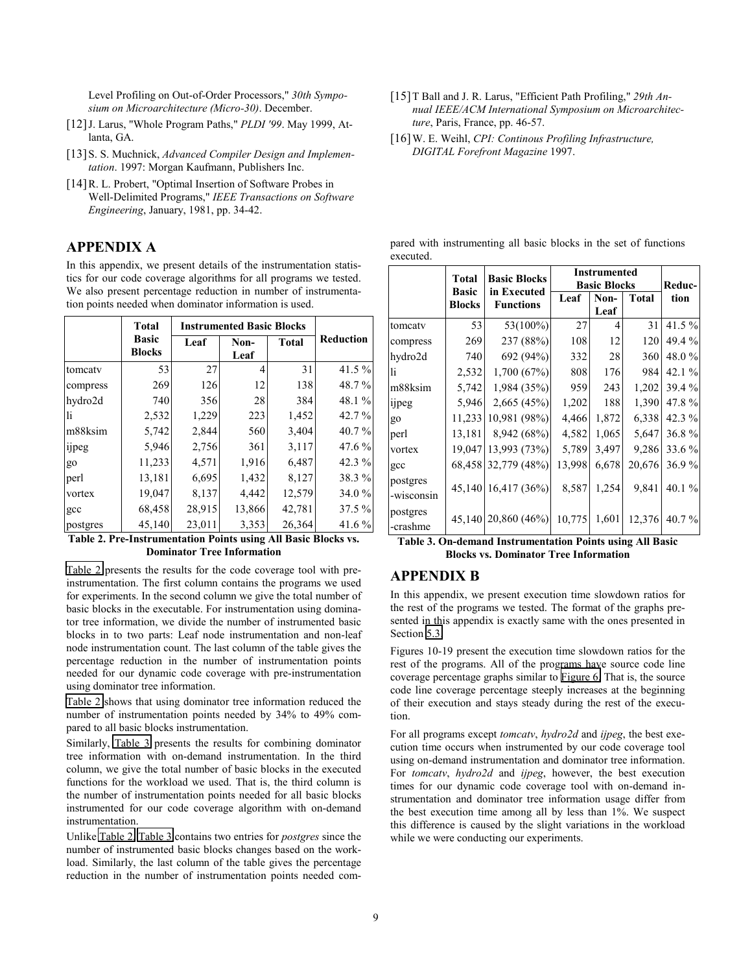Level Profiling on Out-of-Order Processors," *30th Symposium on Microarchitecture (Micro-30)*. December.

- [12] J. Larus, "Whole Program Paths," *PLDI '99*. May 1999, Atlanta, GA.
- [13] S. S. Muchnick, *Advanced Compiler Design and Implementation*. 1997: Morgan Kaufmann, Publishers Inc.
- [14] R. L. Probert, "Optimal Insertion of Software Probes in Well-Delimited Programs," *IEEE Transactions on Software Engineering*, January, 1981, pp. 34-42.

# **APPENDIX A**

In this appendix, we present details of the instrumentation statistics for our code coverage algorithms for all programs we tested. We also present percentage reduction in number of instrumentation points needed when dominator information is used.

|          | <b>Total</b>                  | <b>Instrumented Basic Blocks</b> |              |              |                  |
|----------|-------------------------------|----------------------------------|--------------|--------------|------------------|
|          | <b>Basic</b><br><b>Blocks</b> | Leaf                             | Non-<br>Leaf | <b>Total</b> | <b>Reduction</b> |
| tomcaty  | 53                            | 27                               | 4            | 31           | 41.5 $%$         |
| compress | 269                           | 126                              | 12           | 138          | 48.7%            |
| hydro2d  | 740                           | 356                              | 28           | 384          | 48.1%            |
| li       | 2,532                         | 1,229                            | 223          | 1,452        | 42.7%            |
| m88ksim  | 5,742                         | 2,844                            | 560          | 3,404        | 40.7%            |
| ijpeg    | 5,946                         | 2,756                            | 361          | 3,117        | 47.6 %           |
| go       | 11,233                        | 4,571                            | 1,916        | 6,487        | 42.3 %           |
| perl     | 13,181                        | 6,695                            | 1,432        | 8,127        | 38.3 %           |
| vortex   | 19,047                        | 8,137                            | 4,442        | 12,579       | 34.0%            |
| gcc      | 68,458                        | 28,915                           | 13,866       | 42,781       | 37.5 %           |
| postgres | 45,140                        | 23,011                           | 3,353        | 26,364       | 41.6 $%$         |

#### **Table 2. Pre-Instrumentation Points using All Basic Blocks vs. Dominator Tree Information**

Table 2 presents the results for the code coverage tool with preinstrumentation. The first column contains the programs we used for experiments. In the second column we give the total number of basic blocks in the executable. For instrumentation using dominator tree information, we divide the number of instrumented basic blocks in to two parts: Leaf node instrumentation and non-leaf node instrumentation count. The last column of the table gives the percentage reduction in the number of instrumentation points needed for our dynamic code coverage with pre-instrumentation using dominator tree information.

Table 2 shows that using dominator tree information reduced the number of instrumentation points needed by 34% to 49% compared to all basic blocks instrumentation.

Similarly, Table 3 presents the results for combining dominator tree information with on-demand instrumentation. In the third column, we give the total number of basic blocks in the executed functions for the workload we used. That is, the third column is the number of instrumentation points needed for all basic blocks instrumented for our code coverage algorithm with on-demand instrumentation.

Unlike Table 2, Table 3 contains two entries for *postgres* since the number of instrumented basic blocks changes based on the workload. Similarly, the last column of the table gives the percentage reduction in the number of instrumentation points needed com-

- [15] T Ball and J. R. Larus, "Efficient Path Profiling," *29th Annual IEEE/ACM International Symposium on Microarchitecture*, Paris, France, pp. 46-57.
- [16] W. E. Weihl, *CPI: Continous Profiling Infrastructure, DIGITAL Forefront Magazine* 1997.

pared with instrumenting all basic blocks in the set of functions executed.

|                        |                                               | <b>Basic Blocks</b>             | <b>Instrumented</b> |        |        |        |
|------------------------|-----------------------------------------------|---------------------------------|---------------------|--------|--------|--------|
|                        | <b>Total</b><br><b>Basic</b><br><b>Blocks</b> | in Executed<br><b>Functions</b> | <b>Basic Blocks</b> | Reduc- |        |        |
|                        |                                               |                                 | Leaf                | Non-   | Total  | tion   |
|                        |                                               |                                 |                     | Leaf   |        |        |
| tomcatv                | 53                                            | $53(100\%)$                     | 27                  | 4      | 31     | 41.5 % |
| compress               | 269                                           | 237 (88%)                       | 108                 | 12     | 120    | 49.4 % |
| hydro2d                | 740                                           | 692 (94%)                       | 332                 | 28     | 360    | 48.0 % |
| 1i                     | 2,532                                         | 1,700 (67%)                     | 808                 | 176    | 984    | 42.1%  |
| m88ksim                | 5,742                                         | 1,984 (35%)                     | 959                 | 243    | 1,202  | 39.4%  |
| ijpeg                  | 5,946                                         | 2,665(45%)                      | 1,202               | 188    | 1,390  | 47.8%  |
| go                     | 11,233                                        | 10,981 (98%)                    | 4,466               | 1,872  | 6,338  | 42.3 % |
| perl                   | 13,181                                        | 8,942 (68%)                     | 4,582               | 1,065  | 5,647  | 36.8%  |
| vortex                 |                                               | 19,047 13,993 (73%)             | 5,789               | 3,497  | 9,286  | 33.6 % |
| gcc                    |                                               | 68,458 32,779 (48%)             | 13,998              | 6,678  | 20,676 | 36.9%  |
| postgres<br>-wisconsin |                                               | 45,140 16,417 (36%)             | 8,587               | 1,254  | 9,841  | 40.1%  |
| postgres<br>-crashme   |                                               | 45,140 20,860 (46%)             | 10,775              | 1,601  | 12,376 | 40.7%  |

#### **Table 3. On-demand Instrumentation Points using All Basic Blocks vs. Dominator Tree Information**

## **APPENDIX B**

In this appendix, we present execution time slowdown ratios for the rest of the programs we tested. The format of the graphs presented in this appendix is exactly same with the ones presented in Section [5.3.](#page-4-0)

Figures 10-19 present the execution time slowdown ratios for the rest of the programs. All of the programs have source code line coverage percentage graphs similar to [Figure 6.](#page-4-0) That is, the source code line coverage percentage steeply increases at the beginning of their execution and stays steady during the rest of the execution.

For all programs except *tomcatv*, *hydro2d* and *ijpeg*, the best execution time occurs when instrumented by our code coverage tool using on-demand instrumentation and dominator tree information. For *tomcatv*, *hydro2d* and *ijpeg*, however, the best execution times for our dynamic code coverage tool with on-demand instrumentation and dominator tree information usage differ from the best execution time among all by less than 1%. We suspect this difference is caused by the slight variations in the workload while we were conducting our experiments.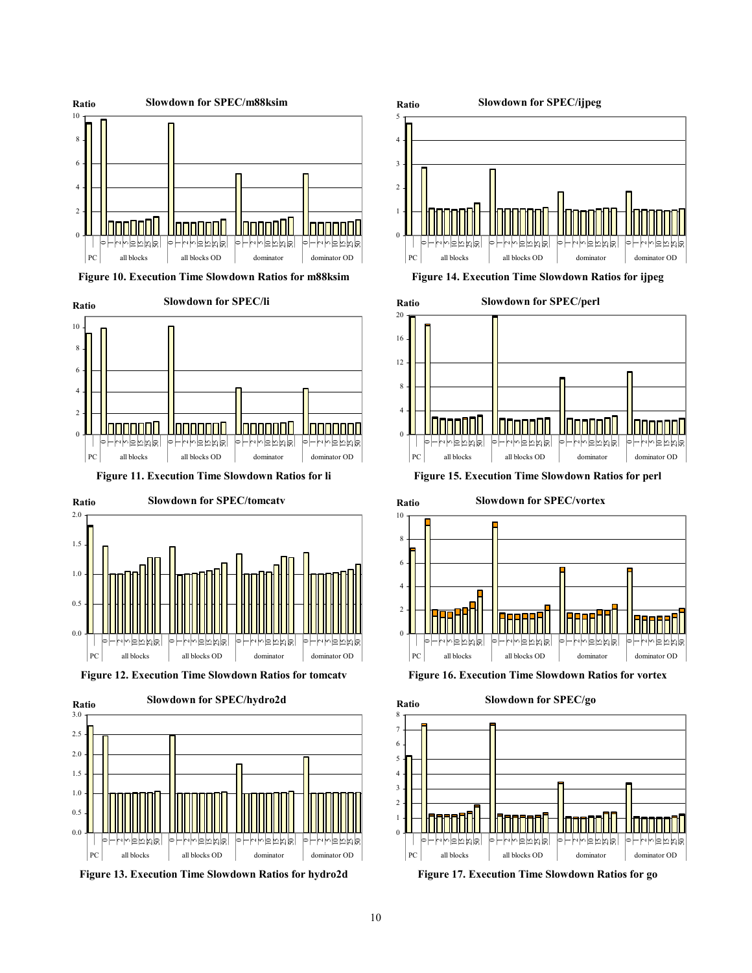

**Figure 10. Execution Time Slowdown Ratios for m88ksim** 



**Figure 11. Execution Time Slowdown Ratios for li** 



**Figure 12. Execution Time Slowdown Ratios for tomcatv** 



**Figure 13. Execution Time Slowdown Ratios for hydro2d** 



**Figure 14. Execution Time Slowdown Ratios for ijpeg** 



**Figure 15. Execution Time Slowdown Ratios for perl** 



**Figure 16. Execution Time Slowdown Ratios for vortex** 



**Figure 17. Execution Time Slowdown Ratios for go**